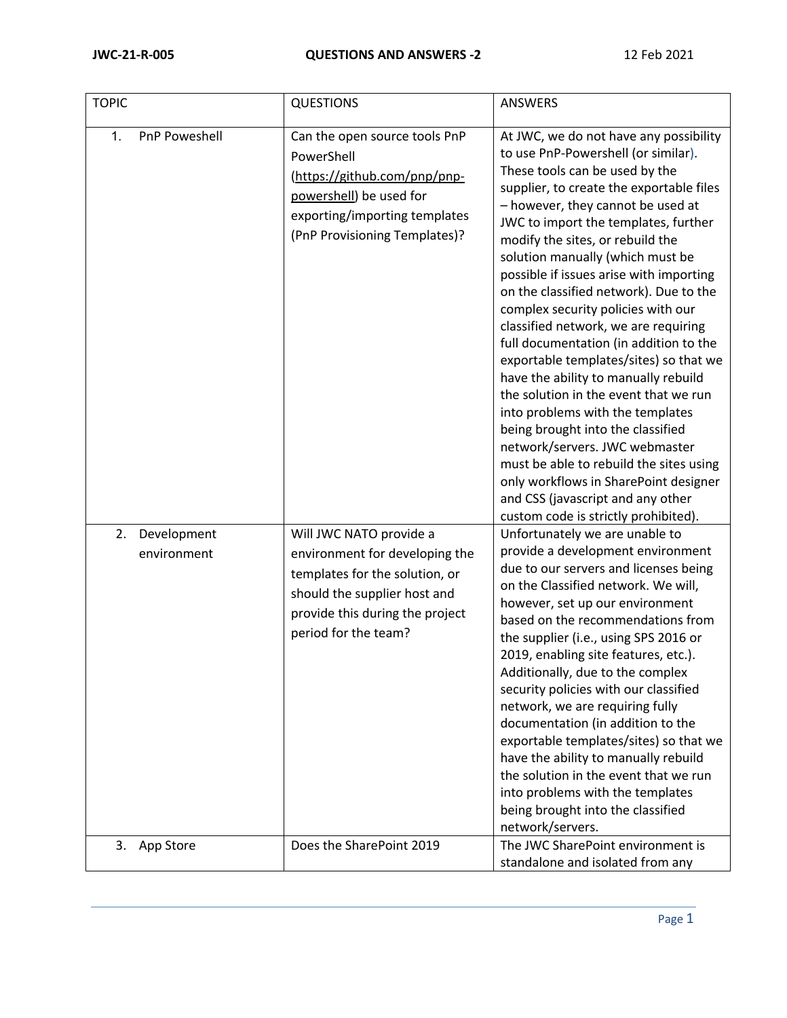| <b>TOPIC</b>                     | <b>QUESTIONS</b>                                                                                                                                                                       | <b>ANSWERS</b>                                                                                                                                                                                                                                                                                                                                                                                                                                                                                                                                                                                                                                                                                                                                                                                                                                                                                                                       |
|----------------------------------|----------------------------------------------------------------------------------------------------------------------------------------------------------------------------------------|--------------------------------------------------------------------------------------------------------------------------------------------------------------------------------------------------------------------------------------------------------------------------------------------------------------------------------------------------------------------------------------------------------------------------------------------------------------------------------------------------------------------------------------------------------------------------------------------------------------------------------------------------------------------------------------------------------------------------------------------------------------------------------------------------------------------------------------------------------------------------------------------------------------------------------------|
| PnP Poweshell<br>1.              | Can the open source tools PnP<br>PowerShell<br>(https://github.com/pnp/pnp-<br>powershell) be used for<br>exporting/importing templates<br>(PnP Provisioning Templates)?               | At JWC, we do not have any possibility<br>to use PnP-Powershell (or similar).<br>These tools can be used by the<br>supplier, to create the exportable files<br>- however, they cannot be used at<br>JWC to import the templates, further<br>modify the sites, or rebuild the<br>solution manually (which must be<br>possible if issues arise with importing<br>on the classified network). Due to the<br>complex security policies with our<br>classified network, we are requiring<br>full documentation (in addition to the<br>exportable templates/sites) so that we<br>have the ability to manually rebuild<br>the solution in the event that we run<br>into problems with the templates<br>being brought into the classified<br>network/servers. JWC webmaster<br>must be able to rebuild the sites using<br>only workflows in SharePoint designer<br>and CSS (javascript and any other<br>custom code is strictly prohibited). |
| 2.<br>Development<br>environment | Will JWC NATO provide a<br>environment for developing the<br>templates for the solution, or<br>should the supplier host and<br>provide this during the project<br>period for the team? | Unfortunately we are unable to<br>provide a development environment<br>due to our servers and licenses being<br>on the Classified network. We will,<br>however, set up our environment<br>based on the recommendations from<br>the supplier (i.e., using SPS 2016 or<br>2019, enabling site features, etc.).<br>Additionally, due to the complex<br>security policies with our classified<br>network, we are requiring fully<br>documentation (in addition to the<br>exportable templates/sites) so that we<br>have the ability to manually rebuild<br>the solution in the event that we run<br>into problems with the templates<br>being brought into the classified<br>network/servers.                                                                                                                                                                                                                                            |
| 3.<br>App Store                  | Does the SharePoint 2019                                                                                                                                                               | The JWC SharePoint environment is<br>standalone and isolated from any                                                                                                                                                                                                                                                                                                                                                                                                                                                                                                                                                                                                                                                                                                                                                                                                                                                                |